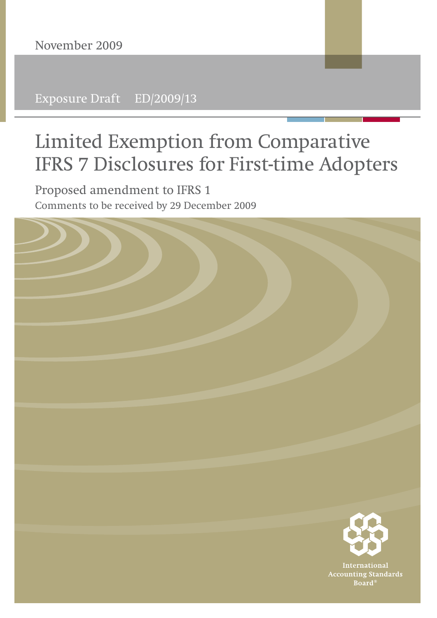Exposure Draft ED/2009/13

# **Limited Exemption from Comparative IFRS 7 Disclosures for First-time Adopters**

**Proposed amendment to IFRS 1** Comments to be received by 29 December 2009

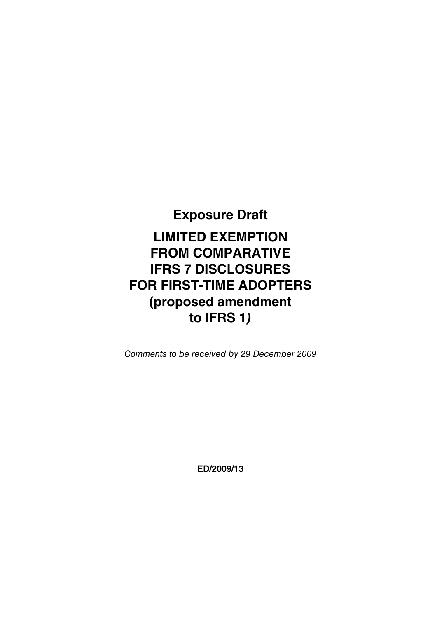## **Exposure Draft**

# **LIMITED EXEMPTION FROM COMPARATIVE IFRS 7 DISCLOSURES FOR FIRST-TIME ADOPTERS (proposed amendment to IFRS 1***)*

Comments to be received by 29 December 2009

**ED/2009/13**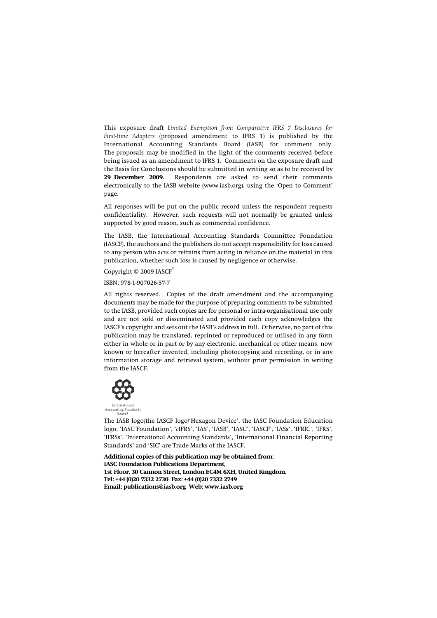This exposure draft *Limited Exemption from Comparative IFRS 7 Disclosures for First-time Adopters* (proposed amendment to IFRS 1) is published by the International Accounting Standards Board (IASB) for comment only. The proposals may be modified in the light of the comments received before being issued as an amendment to IFRS 1. Comments on the exposure draft and the Basis for Conclusions should be submitted in writing so as to be received by **29 December 2009.** Respondents are asked to send their comments electronically to the IASB website (www.iasb.org), using the 'Open to Comment' page.

All responses will be put on the public record unless the respondent requests confidentiality. However, such requests will not normally be granted unless supported by good reason, such as commercial confidence.

The IASB, the International Accounting Standards Committee Foundation (IASCF), the authors and the publishers do not accept responsibility for loss caused to any person who acts or refrains from acting in reliance on the material in this publication, whether such loss is caused by negligence or otherwise.

Copyright © 2009 IASCF®

ISBN: 978-1-907026-57-7

All rights reserved. Copies of the draft amendment and the accompanying documents may be made for the purpose of preparing comments to be submitted to the IASB, provided such copies are for personal or intra-organisational use only and are not sold or disseminated and provided each copy acknowledges the IASCF's copyright and sets out the IASB's address in full. Otherwise, no part of this publication may be translated, reprinted or reproduced or utilised in any form either in whole or in part or by any electronic, mechanical or other means, now known or hereafter invented, including photocopying and recording, or in any information storage and retrieval system, without prior permission in writing from the IASCF.



The IASB logo/the IASCF logo/'Hexagon Device', the IASC Foundation Education logo, 'IASC Foundation', '*e*IFRS', 'IAS', 'IASB', 'IASC', 'IASCF', 'IASs', 'IFRIC', 'IFRS', 'IFRSs', 'International Accounting Standards', 'International Financial Reporting Standards' and 'SIC' are Trade Marks of the IASCF.

**Additional copies of this publication may be obtained from: IASC Foundation Publications Department, 1st Floor, 30 Cannon Street, London EC4M 6XH, United Kingdom. Tel: +44 (0)20 7332 2730 Fax: +44 (0)20 7332 2749 Email: publications@iasb.org Web: www.iasb.org**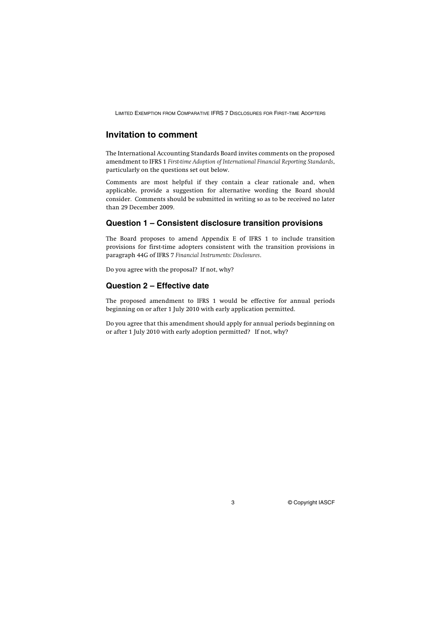LIMITED EXEMPTION FROM COMPARATIVE IFRS 7 DISCLOSURES FOR FIRST-TIME ADOPTERS

#### **Invitation to comment**

The International Accounting Standards Board invites comments on the proposed amendment to IFRS 1 *First-time Adoption of International Financial Reporting Standards*, particularly on the questions set out below.

Comments are most helpful if they contain a clear rationale and, when applicable, provide a suggestion for alternative wording the Board should consider. Comments should be submitted in writing so as to be received no later than 29 December 2009.

#### **Question 1 – Consistent disclosure transition provisions**

The Board proposes to amend Appendix E of IFRS 1 to include transition provisions for first-time adopters consistent with the transition provisions in paragraph 44G of IFRS 7 *Financial Instruments: Disclosures*.

Do you agree with the proposal? If not, why?

#### **Question 2 – Effective date**

The proposed amendment to IFRS 1 would be effective for annual periods beginning on or after 1 July 2010 with early application permitted.

Do you agree that this amendment should apply for annual periods beginning on or after 1 July 2010 with early adoption permitted? If not, why?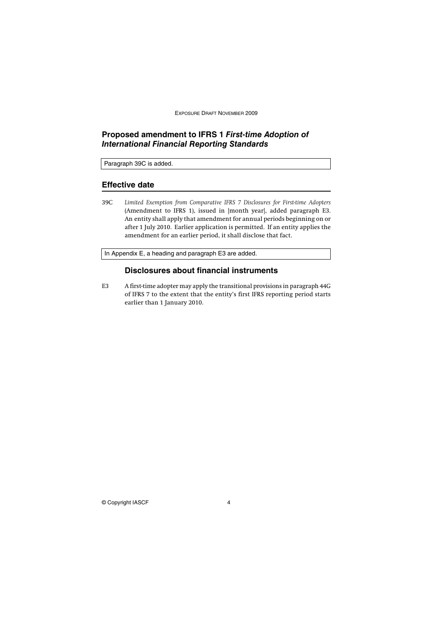EXPOSURE DRAFT NOVEMBER 2009

#### **Proposed amendment to IFRS 1** *First-time Adoption of International Financial Reporting Standards*

Paragraph 39C is added.

#### **Effective date**

39C *Limited Exemption from Comparative IFRS 7 Disclosures for First-time Adopters* (Amendment to IFRS 1), issued in [month year], added paragraph E3. An entity shall apply that amendment for annual periods beginning on or after 1 July 2010. Earlier application is permitted. If an entity applies the amendment for an earlier period, it shall disclose that fact.

In Appendix E, a heading and paragraph E3 are added.

#### **Disclosures about financial instruments**

E3 A first-time adopter may apply the transitional provisions in paragraph 44G of IFRS 7 to the extent that the entity's first IFRS reporting period starts earlier than 1 January 2010.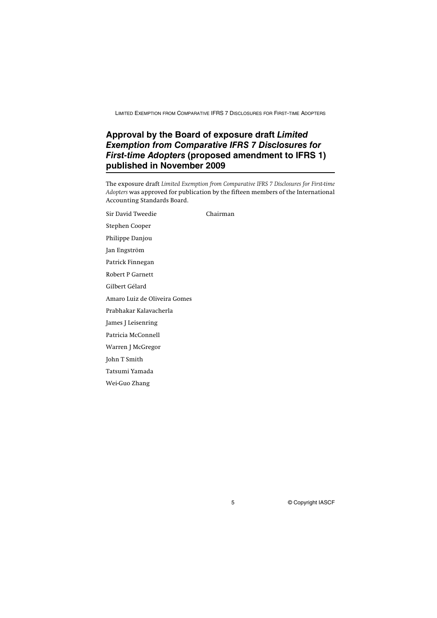LIMITED EXEMPTION FROM COMPARATIVE IFRS 7 DISCLOSURES FOR FIRST-TIME ADOPTERS

### **Approval by the Board of exposure draft** *Limited Exemption from Comparative IFRS 7 Disclosures for First-time Adopters* **(proposed amendment to IFRS 1) published in November 2009**

The exposure draft *Limited Exemption from Comparative IFRS 7 Disclosures for First-time Adopters* was approved for publication by the fifteen members of the International Accounting Standards Board.

Sir David Tweedie Chairman Stephen Cooper Philippe Danjou Jan Engström Patrick Finnegan Robert P Garnett Gilbert Gélard Amaro Luiz de Oliveira Gomes Prabhakar Kalavacherla James J Leisenring Patricia McConnell Warren J McGregor John T Smith Tatsumi Yamada Wei-Guo Zhang